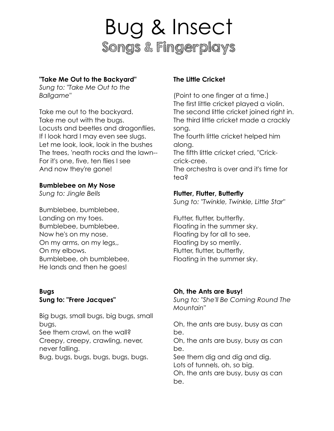# Bug & Insect Songs & Fingerplays

# **"Take Me Out to the Backyard"**

*Sung to: "Take Me Out to the Ballgame"* 

Take me out to the backyard. Take me out with the bugs. Locusts and beetles and dragonflies, If I look hard I may even see slugs. Let me look, look, look in the bushes The trees, 'neath rocks and the lawn-- For it's one, five, ten flies I see And now they're gone!

# **Bumblebee on My Nose**

*Sung to: Jingle Bells* 

Bumblebee, bumblebee, Landing on my toes. Bumblebee, bumblebee, Now he's on my nose. On my arms, on my legs,, On my elbows. Bumblebee, oh bumblebee, He lands and then he goes!

# **Bugs Sung to: "Frere Jacques"**

Big bugs, small bugs, big bugs, small bugs, See them crawl, on the wall? Creepy, creepy, crawling, never, never falling. Bug, bugs, bugs, bugs, bugs, bugs.

# **The Little Cricket**

(Point to one finger at a time.) The first little cricket played a violin. The second little cricket joined right in. The third little cricket made a crackly song.

The fourth little cricket helped him along.

The fifth little cricket cried, "Crickcrick-cree.

The orchestra is over and it's time for tea?

# **Flutter, Flutter, Butterfly**

*Sung to: "Twinkle, Twinkle, Little Star"* 

Flutter, flutter, butterfly. Floating in the summer sky. Floating by for all to see, Floating by so merrily. Flutter, flutter, butterfly, Floating in the summer sky.

# **Oh, the Ants are Busy!**

*Sung to: "She'll Be Coming Round The Mountain"* 

Oh, the ants are busy, busy as can be.

Oh, the ants are busy, busy as can be.

See them dig and dig and dig.

Lots of tunnels, oh, so big.

Oh, the ants are busy, busy as can be.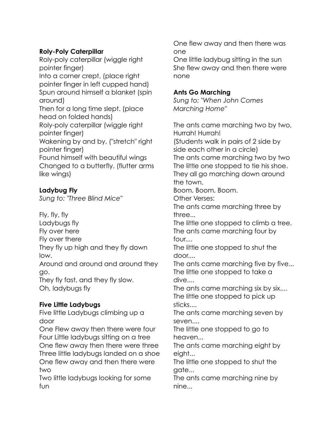# **Roly-Poly Caterpillar**

Roly-poly caterpillar (wiggle right pointer finger) Into a corner crept, (place right pointer finger in left cupped hand) Spun around himself a blanket (spin around) Then for a long time slept. (place head on folded hands) Roly-poly caterpillar (wiggle right pointer finger) Wakening by and by, ("stretch" right pointer finger) Found himself with beautiful wings Changed to a butterfly. (flutter arms like wings)

# **Ladybug Fly**

*Sung to: "Three Blind Mice"* 

Fly, fly, fly Ladybugs fly Fly over here Fly over there They fly up high and they fly down low. Around and around and around they go. They fly fast, and they fly slow. Oh, ladybugs fly

# **Five Little Ladybugs**

Five little Ladybugs climbing up a door

One Flew away then there were four Four Little ladybugs sitting on a tree One flew away then there were three Three little ladybugs landed on a shoe One flew away and then there were two

Two little ladybugs looking for some fun

One flew away and then there was one

One little ladybug sitting in the sun She flew away and then there were none

# **Ants Go Marching**

*Sung to: "When John Comes Marching Home"* 

The ants came marching two by two, Hurrah! Hurrah! (Students walk in pairs of 2 side by side each other in a circle) The ants came marching two by two The little one stopped to tie his shoe. They all go marching down around the town. Boom, Boom, Boom. Other Verses: The ants came marching three by three... The little one stopped to climb a tree. The ants came marching four by four.... The little one stopped to shut the door....

The ants came marching five by five... The little one stopped to take a dive....

The ants came marching six by six.... The little one stopped to pick up sticks....

The ants came marching seven by seven....

The little one stopped to go to heaven...

The ants came marching eight by eight...

The little one stopped to shut the gate...

The ants came marching nine by nine...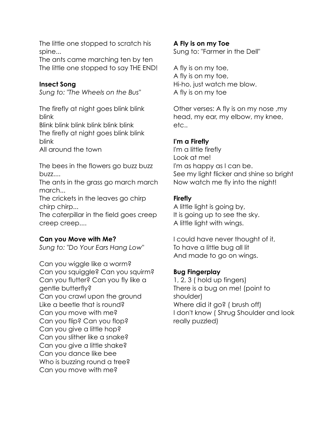The little one stopped to scratch his spine...

The ants came marching ten by ten The little one stopped to say THE END!

# **Insect Song**

*Sung to: "The Wheels on the Bus"* 

The firefly at night goes blink blink blink

Blink blink blink blink blink blink The firefly at night goes blink blink blink

All around the town

The bees in the flowers go buzz buzz buzz....

The ants in the grass go march march march...

The crickets in the leaves go chirp chirp chirp...

The caterpillar in the field goes creep creep creep....

## **Can you Move with Me?**

*Sung to: "Do Your Ears Hang Low"* 

Can you wiggle like a worm? Can you squiggle? Can you squirm? Can you flutter? Can you fly like a gentle butterfly? Can you crawl upon the ground Like a beetle that is round? Can you move with me? Can you flip? Can you flop? Can you give a little hop? Can you slither like a snake? Can you give a little shake? Can you dance like bee Who is buzzing round a tree? Can you move with me?

## **A Fly is on my Toe**

Sung to: "Farmer in the Dell"

A fly is on my toe, A fly is on my toe, Hi-ho, just watch me blow. A fly is on my toe

Other verses: A fly is on my nose ,my head, my ear, my elbow, my knee, etc..

# **I'm a Firefly**

I'm a little firefly Look at me! I'm as happy as I can be. See my light flicker and shine so bright Now watch me fly into the night!

## **Firefly**

A little light is going by, It is going up to see the sky. A little light with wings.

I could have never thought of it, To have a little bug all lit And made to go on wings.

## **Bug Fingerplay**

1, 2, 3 ( hold up fingers) There is a bug on me! (point to shoulder) Where did it go? ( brush off) I don't know ( Shrug Shoulder and look really puzzled)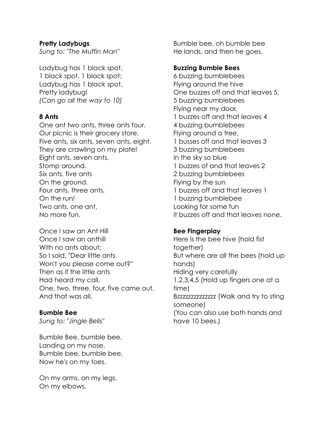#### **Pretty Ladybugs**

*Sung to: "The Muffin Man"* 

Ladybug has 1 black spot, 1 black spot, 1 black spot; Ladybug has 1 black spot, Pretty ladybug! *(Can go all the way to 10)* 

## **8 Ants**

One ant two ants, three ants four. Our picnic is their grocery store. Five ants, six ants, seven ants, eight. They are crawling on my plate! Eight ants, seven ants, Stomp around. Six ants, five ants On the ground. Four ants, three ants, On the run! Two ants, one ant, No more fun.

Once I saw an Ant Hill Once I saw an anthill With no ants about; So I said, "Dear little ants Won't you please come out?" Then as if the little ants Had heard my call, One, two, three, four, five came out, And that was all.

#### **Bumble Bee**

*Sung to: "Jingle Bells"* 

Bumble Bee, bumble bee, Landing on my nose, Bumble bee, bumble bee, Now he's on my toes.

On my arms, on my legs, On my elbows.

Bumble bee, oh bumble bee He lands, and then he goes.

#### **Buzzing Bumble Bees**

6 buzzing bumblebees Flying around the hive One buzzes off and that leaves 5. 5 buzzing bumblebees Flying near my door, 1 buzzes off and that leaves 4 4 buzzing bumblebees Flying around a tree, 1 busses off and that leaves 3 3 buzzing bumblebees In the sky so blue 1 buzzes of and that leaves 2 2 buzzing bumblebees Flying by the sun 1 buzzes off and that leaves 1 1 buzzing bumblebee Looking for some fun It buzzes off and that leaves none.

## **Bee Fingerplay**

Here is the bee hive (hold fist together) But where are all the bees (hold up hands) Hiding very carefully 1,2,3,4,5 (Hold up fingers one at a time) Bzzzzzzzzzzzzzzzzz (Walk and try to sting someone) (You can also use both hands and have 10 bees.)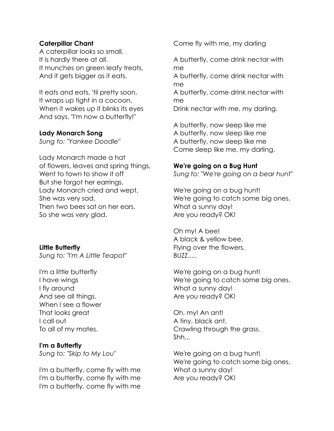#### **Caterpillar Chant**

A caterpillar looks so small. It is hardly there at all. It munches on green leafy treats, And it gets bigger as it eats.

It eats and eats, 'til pretty soon, It wraps up tight in a cocoon. When it wakes up it blinks its eyes And says, "I'm now a butterfly!"

#### **Lady Monarch Song**

*Sung to: "Yankee Doodle"* 

Lady Monarch made a hat of flowers, leaves and spring things, Went to town to show it off But she forgot her earrings. Lady Monarch cried and wept, She was very sad, Then two bees sat on her ears, So she was very glad.

**Little Butterfly**  *Sung to: "I'm A Little Teapot"* 

I'm a little butterfly I have wings I fly around And see all things. When I see a flower That looks great I call out To all of my mates.

#### **I'm a Butterfly**

*Sung to: "Skip to My Lou"* 

I'm a butterfly, come fly with me I'm a butterfly, come fly with me I'm a butterfly, come fly with me

Come fly with me, my darling

A butterfly, come drink nectar with me

A butterfly, come drink nectar with me

A butterfly, come drink nectar with me

Drink nectar with me, my darling.

A butterfly, now sleep like me A butterfly, now sleep like me A butterfly, now sleep like me Come sleep like me, my darling.

#### **We're going on a Bug Hunt**

*Sung to: "We're going on a bear hunt"* 

We're going on a bug hunt! We're going to catch some big ones. What a sunny day! Are you ready? OK!

Oh my! A bee! A black & yellow bee, Flying over the flowers. BUZZ.....

We're going on a bug hunt! We're going to catch some big ones. What a sunny day! Are you ready? OK!

Oh, my! An ant! A tiny, black ant, Crawling through the grass. Shh...

We're going on a bug hunt! We're going to catch some big ones. What a sunny day! Are you ready? OK!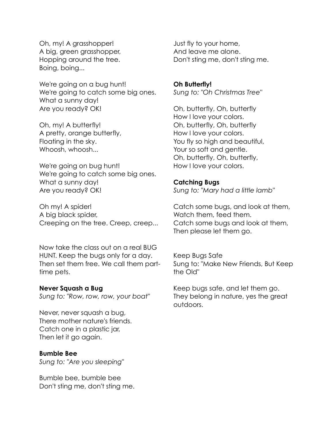Oh, my! A grasshopper! A big, green grasshopper, Hopping around the tree. Boing, boing...

We're going on a bug hunt! We're going to catch some big ones. What a sunny day! Are you ready? OK!

Oh, my! A butterfly! A pretty, orange butterfly, Floating in the sky. Whoosh, whoosh...

We're going on bug hunt! We're going to catch some big ones. What a sunny day! Are you ready? OK!

Oh my! A spider! A big black spider, Creeping on the tree. Creep, creep...

Now take the class out on a real BUG HUNT. Keep the bugs only for a day. Then set them free. We call them parttime pets.

#### **Never Squash a Bug**

*Sung to: "Row, row, row, your boat"* 

Never, never squash a bug, There mother nature's friends. Catch one in a plastic jar, Then let it go again.

#### **Bumble Bee**

*Sung to: "Are you sleeping"* 

Bumble bee, bumble bee Don't sting me, don't sting me. Just fly to your home, And leave me alone. Don't sting me, don't sting me.

**Oh Butterfly!**  *Sung to: "Oh Christmas Tree"* 

Oh, butterfly, Oh, butterfly How I love your colors. Oh, butterfly, Oh, butterfly How I love your colors. You fly so high and beautiful, Your so soft and gentle. Oh, butterfly, Oh, butterfly, How I love your colors.

#### **Catching Bugs**

*Sung to: "Mary had a little lamb"* 

Catch some bugs, and look at them, Watch them, feed them. Catch some bugs and look at them, Then please let them go.

Keep Bugs Safe Sung to: "Make New Friends, But Keep the Old"

Keep bugs safe, and let them go. They belong in nature, yes the great outdoors.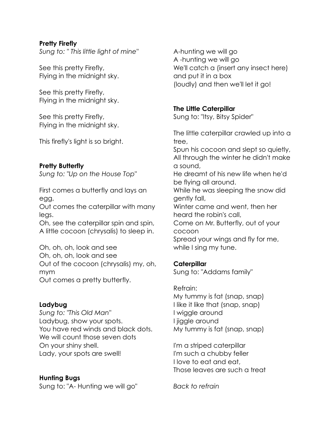## **Pretty Firefly**

*Sung to: " This little light of mine"* 

See this pretty Firefly, Flying in the midnight sky.

See this pretty Firefly, Flying in the midnight sky.

See this pretty Firefly, Flying in the midnight sky.

This firefly's light is so bright.

## **Pretty Butterfly**

*Sung to: "Up on the House Top"* 

First comes a butterfly and lays an egg,

Out comes the caterpillar with many legs.

Oh, see the caterpillar spin and spin, A little cocoon (chrysalis) to sleep in.

Oh, oh, oh, look and see Oh, oh, oh, look and see Out of the cocoon (chrysalis) my, oh, mym Out comes a pretty butterfly.

## **Ladybug**

*Sung to: "This Old Man"*  Ladybug, show your spots. You have red winds and black dots. We will count those seven dots On your shiny shell. Lady, your spots are swell!

#### **Hunting Bugs**

Sung to: "A- Hunting we will go"

A-hunting we will go A -hunting we will go We'll catch a (insert any insect here) and put it in a box (loudly) and then we'll let it go!

## **The Little Caterpillar**

Sung to: "Itsy, Bitsy Spider"

The little caterpillar crawled up into a tree,

Spun his cocoon and slept so quietly, All through the winter he didn't make a sound,

He dreamt of his new life when he'd be flying all around.

While he was sleeping the snow did gently fall,

Winter came and went, then her heard the robin's call,

Come on Mr. Butterfly, out of your cocoon

Spread your wings and fly for me, while I sing my tune.

## **Caterpillar**

Sung to: "Addams family"

Refrain: My tummy is fat (snap, snap) I like it like that (snap, snap) I wiggle around I jiggle around My tummy is fat (snap, snap)

I'm a striped caterpillar I'm such a chubby feller I love to eat and eat, Those leaves are such a treat

*Back to refrain*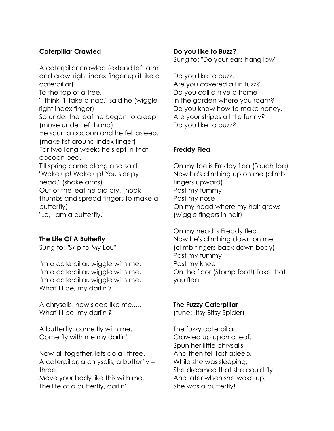# **Caterpillar Crawled**

A caterpillar crawled (extend left arm and crawl right index finger up it like a caterpillar) To the top of a tree. "I think I'll take a nap," said he (wiggle right index finger) So under the leaf he began to creep. (move under left hand) He spun a cocoon and he fell asleep. (make fist around index finger) For two long weeks he slept in that cocoon bed, Till spring came along and said, "Wake up! Wake up! You sleepy head." (shake arms) Out of the leaf he did cry. (hook thumbs and spread fingers to make a butterfly)

"Lo, I am a butterfly."

# **The Life Of A Butterfly**

Sung to: "Skip to My Lou"

I'm a caterpillar, wiggle with me, I'm a caterpillar, wiggle with me, I'm a caterpillar, wiggle with me, What'll I be, my darlin'?

A chrysalis, now sleep like me..... What'll I be, my darlin'?

A butterfly, come fly with me... Come fly with me my darlin'.

Now all together, lets do all three. A caterpillar, a chrysalis, a butterfly - three.

Move your body like this with me. The life of a butterfly, darlin'.

## **Do you like to Buzz?**

Sung to: "Do your ears hang low"

Do you like to buzz. Are you covered all in fuzz?

Do you call a hive a home In the garden where you roam? Do you know how to make honey, Are your stripes a little funny? Do you like to buzz?

# **Freddy Flea**

On my toe is Freddy flea (Touch toe) Now he's climbing up on me (climb fingers upward) Past my tummy Past my nose On my head where my hair grows (wiggle fingers in hair)

On my head is Freddy flea Now he's climbing down on me (climb fingers back down body) Past my tummy Past my knee On the floor (Stomp foot!) Take that you flea!

# **The Fuzzy Caterpillar**

(tune: Itsy Bitsy Spider)

The fuzzy caterpillar Crawled up upon a leaf. Spun her little chrysalis, And then fell fast asleep. While she was sleeping, She dreamed that she could fly. And later when she woke up, She was a butterfly!